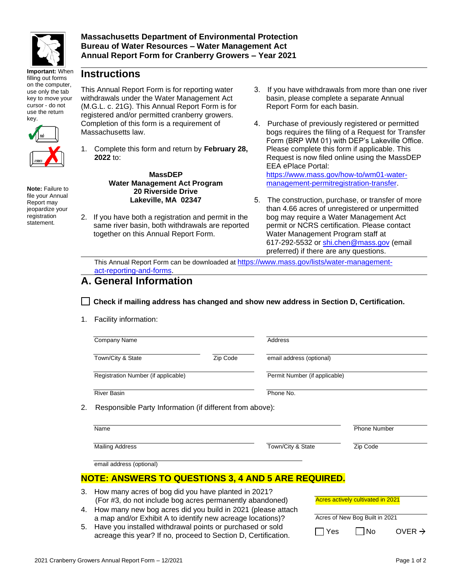

**Important:** When filling out forms on the computer, use only the tab key to move your cursor - do not use the return key.



**Note:** Failure to file your Annual Report may jeopardize your registration statement.

**Instructions**

This Annual Report Form is for reporting water withdrawals under the Water Management Act (M.G.L. c. 21G). This Annual Report Form is for registered and/or permitted cranberry growers. Completion of this form is a requirement of Massachusetts law.

1. Complete this form and return by **February 28, 2022** to:

> **MassDEP Water Management Act Program 20 Riverside Drive Lakeville, MA 02347**

2. If you have both a registration and permit in the same river basin, both withdrawals are reported together on this Annual Report Form.

- 3. If you have withdrawals from more than one river basin, please complete a separate Annual Report Form for each basin.
- 4. Purchase of previously registered or permitted bogs requires the filing of a Request for Transfer Form (BRP WM 01) with DEP's Lakeville Office. Please complete this form if applicable. This Request is now filed online using the MassDEP EEA ePlace Portal: [https://www.mass.gov/how-to/wm01-water](https://www.mass.gov/how-to/wm01-water-management-permitregistration-transfer)[management-permitregistration-transfer.](https://www.mass.gov/how-to/wm01-water-management-permitregistration-transfer)
- 5. The construction, purchase, or transfer of more than 4.66 acres of unregistered or unpermitted bog may require a Water Management Act permit or NCRS certification. Please contact Water Management Program staff at 617-292-5532 or [shi.chen@mass.gov](mailto:shi.chen@mass.gov) (email preferred) if there are any questions.

This Annual Report Form can be downloaded at [https://www.mass.gov/lists/water-management](https://www.mass.gov/lists/water-management-act-reporting-and-forms)[act-reporting-and-for](https://www.mass.gov/lists/water-management-act-reporting-and-forms)ms.

## **A. General Information**

**Check if mailing address has changed and show new address in Section D, Certification.**

1. Facility information:

|    | Company Name                                                                                                                                                                                                                                          |          | Address                       |               |                     |                      |
|----|-------------------------------------------------------------------------------------------------------------------------------------------------------------------------------------------------------------------------------------------------------|----------|-------------------------------|---------------|---------------------|----------------------|
|    | Town/City & State                                                                                                                                                                                                                                     | Zip Code | email address (optional)      |               |                     |                      |
|    | Registration Number (if applicable)                                                                                                                                                                                                                   |          | Permit Number (if applicable) |               |                     |                      |
|    | <b>River Basin</b>                                                                                                                                                                                                                                    |          | Phone No.                     |               |                     |                      |
| 2. | Responsible Party Information (if different from above):                                                                                                                                                                                              |          |                               |               |                     |                      |
|    | Name                                                                                                                                                                                                                                                  |          |                               |               | <b>Phone Number</b> |                      |
|    | <b>Mailing Address</b>                                                                                                                                                                                                                                |          | Town/City & State             |               | Zip Code            |                      |
|    | email address (optional)                                                                                                                                                                                                                              |          |                               |               |                     |                      |
|    | <b>NOTE: ANSWERS TO QUESTIONS 3, 4 AND 5 ARE REQUIRED.</b>                                                                                                                                                                                            |          |                               |               |                     |                      |
| 3. | How many acres of bog did you have planted in 2021?<br>Acres actively cultivated in 2021<br>(For #3, do not include bog acres permanently abandoned)<br>How many new bog acres did you build in 2021 (please attach<br>Acres of New Bog Built in 2021 |          |                               |               |                     |                      |
|    |                                                                                                                                                                                                                                                       |          |                               |               |                     |                      |
| 4. |                                                                                                                                                                                                                                                       |          |                               |               |                     |                      |
|    | a map and/or Exhibit A to identify new acreage locations)?<br>Have you installed withdrawal points or purchased or sold<br>5.                                                                                                                         |          |                               |               |                     |                      |
|    |                                                                                                                                                                                                                                                       |          |                               | $\Box$ $\Box$ | سندا                | $\sim$ $\sim$ $\sim$ |

acreage this year? If no, proceed to Section D, Certification.

|                                | Acres actively cultivated in 2021 |                    |  |  |
|--------------------------------|-----------------------------------|--------------------|--|--|
| Acres of New Bog Built in 2021 |                                   |                    |  |  |
| I Yes                          | l INo                             | OVER $\rightarrow$ |  |  |
|                                |                                   |                    |  |  |